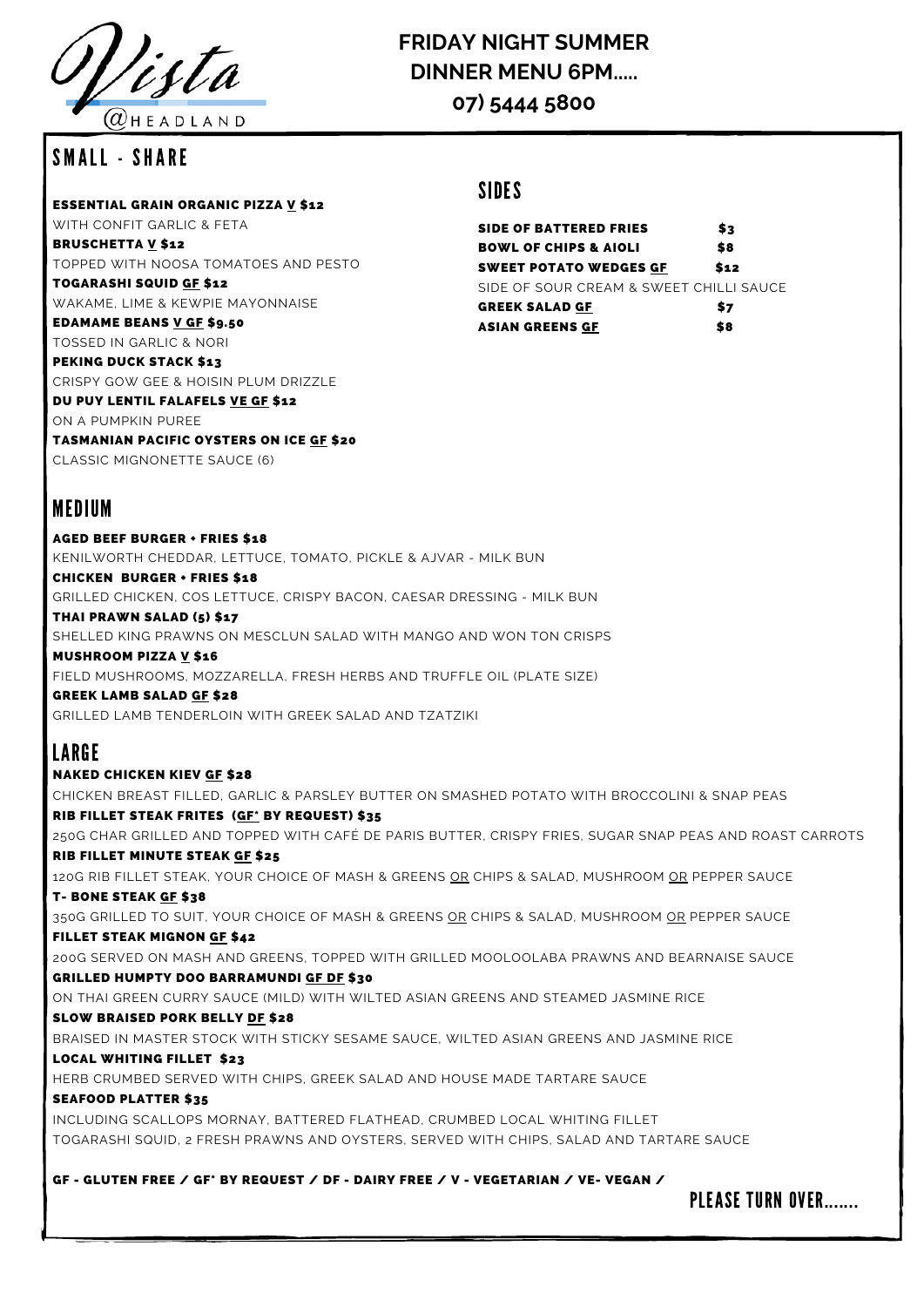

### $@$  H E A D L A N D

### SMALL - SHARF

ESSENTIAL GRAIN ORGANIC PIZZA V \$12

WITH CONFIT GARLIC & FETA BRUSCHETTA V \$12 TOPPED WITH NOOSA TOMATOES AND PESTO

TOGARASHI SQUID GF \$12 WAKAME, LIME & KEWPIE MAYONNAISE

EDAMAME BEANS V GF \$9.50

TOSSED IN GARLIC & NORI PEKING DUCK STACK \$13

CRISPY GOW GEE & HOISIN PLUM DRIZZLE DU PUY LENTIL FALAFELS VE GF \$12

ON A PUMPKIN PUREE

TASMANIAN PACIFIC OYSTERS ON ICE GF \$20

CLASSIC MIGNONETTE SAUCE (6)

### MEDIUM

AGED BEEF BURGER + FRIES \$18 KENILWORTH CHEDDAR, LETTUCE, TOMATO, PICKLE & AJVAR - MILK BUN

CHICKEN BURGER + FRIES \$18

GRILLED CHICKEN, COS LETTUCE, CRISPY BACON, CAESAR DRESSING - MILK BUN

THAI PRAWN SALAD (5) \$17

SHELLED KING PRAWNS ON MESCLUN SALAD WITH MANGO AND WON TON CRISPS MUSHROOM PIZZA V \$16

FIELD MUSHROOMS, MOZZARELLA, FRESH HERBS AND TRUFFLE OIL (PLATE SIZE)

GREEK LAMB SALAD GF \$28 GRILLED LAMB TENDERLOIN WITH GREEK SALAD AND TZATZIKI

# LARGE

NAKED CHICKEN KIEV GF \$28 CHICKEN BREAST FILLED, GARLIC & PARSLEY BUTTER ON SMASHED POTATO WITH BROCCOLINI & SNAP PEAS RIB FILLET STEAK FRITES (GF\* BY REQUEST) \$35 250G CHAR GRILLED AND TOPPED WITH CAFÉ DE PARIS BUTTER, CRISPY FRIES, SUGAR SNAP PEAS AND ROAST CARROTS RIB FILLET MINUTE STEAK GF \$25 120G RIB FILLET STEAK, YOUR CHOICE OF MASH & GREENS OR CHIPS & SALAD, MUSHROOM OR PEPPER SAUCE T- BONE STEAK GF \$38 350G GRILLED TO SUIT, YOUR CHOICE OF MASH & GREENS OR CHIPS & SALAD, MUSHROOM OR PEPPER SAUCE FILLET STEAK MIGNON GF \$42 200G SERVED ON MASH AND GREENS, TOPPED WITH GRILLED MOOLOOLABA PRAWNS AND BEARNAISE SAUCE GRILLED HUMPTY DOO BARRAMUNDI GF DF \$30 ON THAI GREEN CURRY SAUCE (MILD) WITH WILTED ASIAN GREENS AND STEAMED JASMINE RICE SLOW BRAISED PORK BELLY DF \$28 BRAISED IN MASTER STOCK WITH STICKY SESAME SAUCE, WILTED ASIAN GREENS AND JASMINE RICE LOCAL WHITING FILLET \$23 HERB CRUMBED SERVED WITH CHIPS, GREEK SALAD AND HOUSE MADE TARTARE SAUCE SEAFOOD PLATTER \$35 INCLUDING SCALLOPS MORNAY, BATTERED FLATHEAD, CRUMBED LOCAL WHITING FILLET TOGARASHI SQUID, 2 FRESH PRAWNS AND OYSTERS, SERVED WITH CHIPS, SALAD AND TARTARE SAUCE

GF - GLUTEN FREE / GF\* BY REQUEST / DF - DAIRY FREE / V - VEGETARIAN / VE- VEGAN /

### SIDES

SIDE OF BATTERED FRIES \$3 BOWL OF CHIPS & AIOLI \$8 SWEET POTATO WEDGES GF \$12 SIDE OF SOUR CREAM & SWEET CHILLI SAUCE GREEK SALAD <u>GF</u> \$7 ASIAN GREENS <u>GF</u> \$8



# **FRIDAY NIGHT SUMMER DINNER MENU 6PM.....**

**07) 5444 5800**